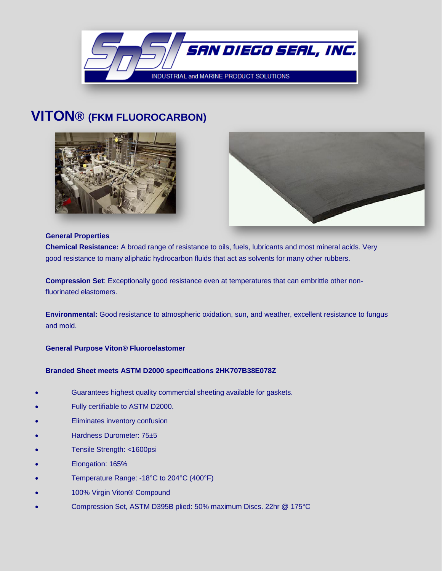

# **VITON® (FKM FLUOROCARBON)**





#### **General Properties**

**Chemical Resistance:** A broad range of resistance to oils, fuels, lubricants and most mineral acids. Very good resistance to many aliphatic hydrocarbon fluids that act as solvents for many other rubbers.

**Compression Set**: Exceptionally good resistance even at temperatures that can embrittle other nonfluorinated elastomers.

**Environmental:** Good resistance to atmospheric oxidation, sun, and weather, excellent resistance to fungus and mold.

## **General Purpose Viton® Fluoroelastomer**

## **Branded Sheet meets ASTM D2000 specifications 2HK707B38E078Z**

- Guarantees highest quality commercial sheeting available for gaskets.
- Fully certifiable to ASTM D2000.
- Eliminates inventory confusion
- Hardness Durometer: 75±5
- Tensile Strength: <1600psi
- Elongation: 165%
- Temperature Range: -18°C to 204°C (400°F)
- 100% Virgin Viton® Compound
- Compression Set, ASTM D395B plied: 50% maximum Discs. 22hr @ 175°C